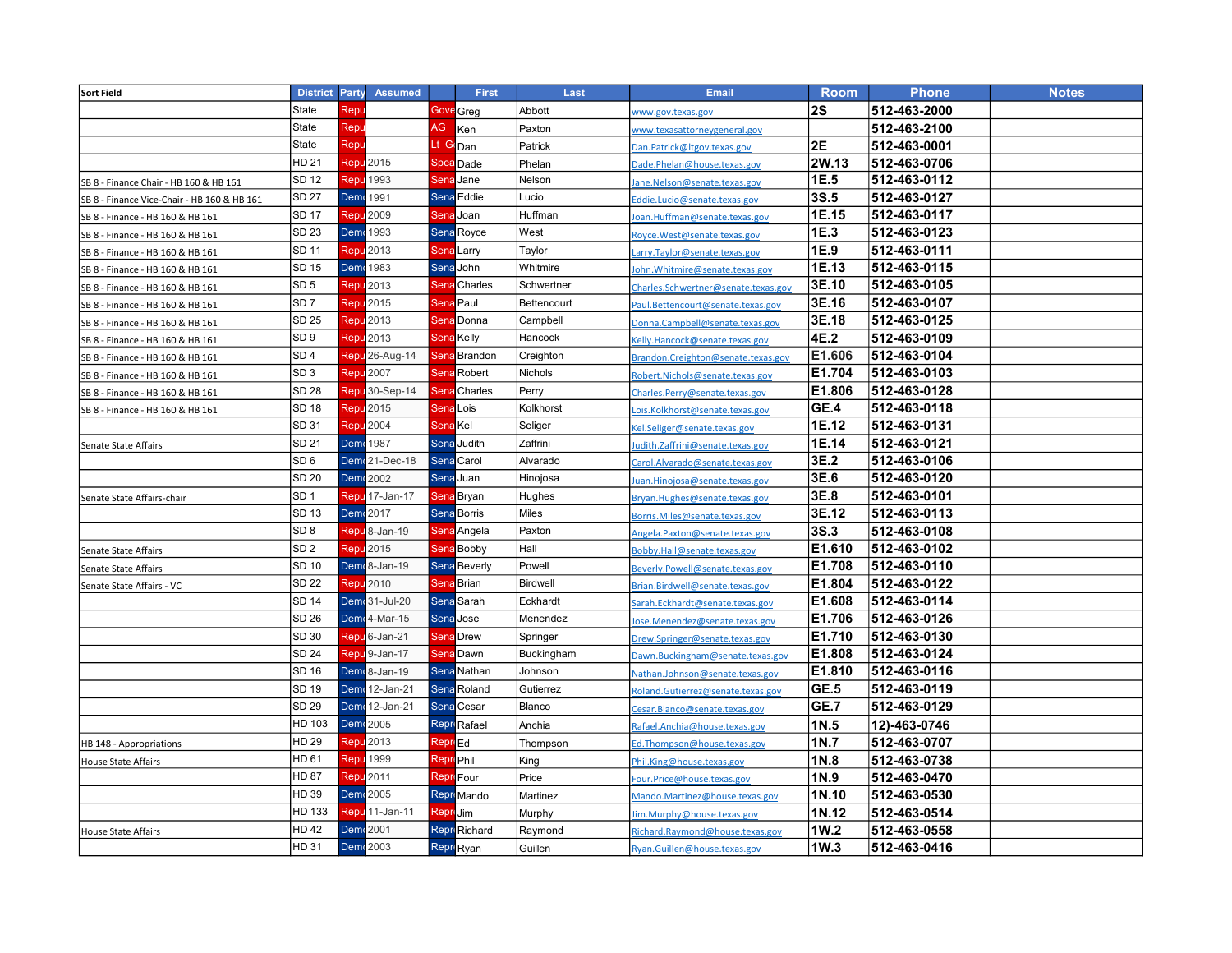| <b>Sort Field</b>                           | <b>District</b> | Party | <b>Assumed</b>             |                      | <b>First</b>        | Last            | <b>Email</b>                        | <b>Room</b> | <b>Phone</b> | <b>Notes</b> |
|---------------------------------------------|-----------------|-------|----------------------------|----------------------|---------------------|-----------------|-------------------------------------|-------------|--------------|--------------|
|                                             | State           | Repu  |                            |                      | <b>Gove</b> Greg    | Abbott          | www.gov.texas.gov                   | 2S          | 512-463-2000 |              |
|                                             | State           | Repu  |                            | AG                   | Ken                 | Paxton          | www.texasattorneygeneral.gov        |             | 512-463-2100 |              |
|                                             | State           | Repu  |                            | Lt Go <sub>Dan</sub> |                     | Patrick         | Dan.Patrick@Itgov.texas.gov         | 2E          | 512-463-0001 |              |
|                                             | <b>HD 21</b>    |       | <b>Repu</b> 2015           |                      | <b>Spea</b> Dade    | Phelan          | Dade.Phelan@house.texas.gov         | 2W.13       | 512-463-0706 |              |
| SB 8 - Finance Chair - HB 160 & HB 161      | SD 12           |       | Repu <sup>1993</sup>       |                      | Sena Jane           | Nelson          | Jane.Nelson@senate.texas.gov        | 1E.5        | 512-463-0112 |              |
| SB 8 - Finance Vice-Chair - HB 160 & HB 161 | <b>SD 27</b>    |       | <b>Demr</b> 1991           |                      | Sena Eddie          | Lucio           | Eddie.Lucio@senate.texas.gov        | 3S.5        | 512-463-0127 |              |
| SB 8 - Finance - HB 160 & HB 161            | <b>SD 17</b>    |       | Repu 2009                  |                      | Sena Joan           | Huffman         | oan.Huffman@senate.texas.gov        | 1E.15       | 512-463-0117 |              |
| SB 8 - Finance - HB 160 & HB 161            | SD 23           |       | <b>Dem</b> <sup>1993</sup> |                      | Sena Royce          | West            | Royce.West@senate.texas.gov         | 1E.3        | 512-463-0123 |              |
| SB 8 - Finance - HB 160 & HB 161            | SD 11           |       | <b>Repu</b> 2013           |                      | <b>Sena</b> Larry   | Taylor          | Larry.Taylor@senate.texas.gov       | 1E.9        | 512-463-0111 |              |
| SB 8 - Finance - HB 160 & HB 161            | SD 15           |       | <b>Dem</b> <sup>1983</sup> |                      | Sena John           | Whitmire        | John. Whitmire@senate.texas.gov     | 1E.13       | 512-463-0115 |              |
| SB 8 - Finance - HB 160 & HB 161            | SD <sub>5</sub> |       | Repu 2013                  |                      | <b>Sena</b> Charles | Schwertner      | Charles.Schwertner@senate.texas.gov | 3E.10       | 512-463-0105 |              |
| SB 8 - Finance - HB 160 & HB 161            | SD <sub>7</sub> |       | Repu <sup>2015</sup>       |                      | <b>Sena Paul</b>    | Bettencourt     | Paul.Bettencourt@senate.texas.gov   | 3E.16       | 512-463-0107 |              |
| SB 8 - Finance - HB 160 & HB 161            | <b>SD 25</b>    |       | Repu <sup>2013</sup>       |                      | <b>Sena Donna</b>   | Campbell        | Donna.Campbell@senate.texas.gov     | 3E.18       | 512-463-0125 |              |
| SB 8 - Finance - HB 160 & HB 161            | SD <sub>9</sub> |       | Repu <sup>2013</sup>       |                      | <b>Sena Kelly</b>   | Hancock         | Kelly.Hancock@senate.texas.gov      | 4E.2        | 512-463-0109 |              |
| SB 8 - Finance - HB 160 & HB 161            | SD <sub>4</sub> |       | Repu <sup>26-Aug-14</sup>  |                      | <b>Sena Brandon</b> | Creighton       | Brandon.Creighton@senate.texas.gov  | E1.606      | 512-463-0104 |              |
| SB 8 - Finance - HB 160 & HB 161            | SD <sub>3</sub> |       | Repu 2007                  |                      | <b>Sena Robert</b>  | Nichols         | Robert.Nichols@senate.texas.gov     | E1.704      | 512-463-0103 |              |
| SB 8 - Finance - HB 160 & HB 161            | <b>SD 28</b>    |       | Repu <sup>30-Sep-14</sup>  |                      | <b>Sena Charles</b> | Perry           | Charles.Perry@senate.texas.gov      | E1.806      | 512-463-0128 |              |
| SB 8 - Finance - HB 160 & HB 161            | SD 18           |       | Repu <sup>2015</sup>       | <b>Sena Lois</b>     |                     | Kolkhorst       | Lois.Kolkhorst@senate.texas.gov     | GE.4        | 512-463-0118 |              |
|                                             | SD 31           |       | <b>Repu</b> 2004           | Sena Kel             |                     | Seliger         | Kel.Seliger@senate.texas.gov        | 1E.12       | 512-463-0131 |              |
| Senate State Affairs                        | SD 21           |       | <b>Dem</b> <sup>1987</sup> |                      | <b>Sena Judith</b>  | Zaffrini        | udith.Zaffrini@senate.texas.gov     | 1E.14       | 512-463-0121 |              |
|                                             | SD <sub>6</sub> |       | Demr <sup>21</sup> -Dec-18 |                      | Sena Carol          | Alvarado        | Carol.Alvarado@senate.texas.gov     | 3E.2        | 512-463-0106 |              |
|                                             | SD 20           |       | Dem 2002                   |                      | Sena Juan           | Hinojosa        | uan.Hinojosa@senate.texas.gov       | 3E.6        | 512-463-0120 |              |
| Senate State Affairs-chair                  | SD 1            |       | Repu 17-Jan-17             |                      | <b>Sena Bryan</b>   | Hughes          | Bryan.Hughes@senate.texas.gov       | 3E.8        | 512-463-0101 |              |
|                                             | SD 13           |       | Dem 2017                   |                      | <b>Sena Borris</b>  | Miles           | Borris.Miles@senate.texas.gov       | 3E.12       | 512-463-0113 |              |
|                                             | SD <sub>8</sub> |       | Repu <sup>8</sup> -Jan-19  |                      | Sena Angela         | Paxton          | Angela.Paxton@senate.texas.gov      | <b>3S.3</b> | 512-463-0108 |              |
| Senate State Affairs                        | SD <sub>2</sub> |       | Repu <sup>2015</sup>       |                      | <b>Sena Bobby</b>   | Hall            | Bobby.Hall@senate.texas.gov         | E1.610      | 512-463-0102 |              |
| Senate State Affairs                        | SD 10           |       | Demr <sub>8</sub> -Jan-19  |                      | <b>Sena</b> Beverly | Powell          | Beverly.Powell@senate.texas.gov     | E1.708      | 512-463-0110 |              |
| Senate State Affairs - VC                   | SD 22           |       | <b>Repu</b> 2010           |                      | <b>Sena</b> Brian   | <b>Birdwell</b> | Brian.Birdwell@senate.texas.gov     | E1.804      | 512-463-0122 |              |
|                                             | <b>SD 14</b>    |       | Dem 31-Jul-20              |                      | <b>Sena</b> Sarah   | Eckhardt        | Sarah.Eckhardt@senate.texas.gov     | E1.608      | 512-463-0114 |              |
|                                             | SD 26           |       | Demr <sub>4</sub> -Mar-15  |                      | Sena Jose           | Menendez        | Jose.Menendez@senate.texas.gov      | E1.706      | 512-463-0126 |              |
|                                             | SD 30           |       | Repu <sup>6</sup> -Jan-21  |                      | <b>Sena</b> Drew    | Springer        | Drew.Springer@senate.texas.gov      | E1.710      | 512-463-0130 |              |
|                                             | SD 24           |       | Repu <sup>9</sup> -Jan-17  |                      | <b>Sena Dawn</b>    | Buckingham      | Dawn.Buckingham@senate.texas.gov    | E1.808      | 512-463-0124 |              |
|                                             | SD 16           |       | Demr <sup>8</sup> -Jan-19  |                      | <b>Sena</b> Nathan  | Johnson         | Nathan.Johnson@senate.texas.gov     | E1.810      | 512-463-0116 |              |
|                                             | SD 19           |       | Demr 12-Jan-21             |                      | Sena Roland         | Gutierrez       | Roland.Gutierrez@senate.texas.gov   | GE.5        | 512-463-0119 |              |
|                                             | SD 29           |       | Demr 12-Jan-21             |                      | <b>Sena Cesar</b>   | Blanco          | Cesar.Blanco@senate.texas.gov       | <b>GE.7</b> | 512-463-0129 |              |
|                                             | HD 103          |       | Dem <2005                  |                      | Repr Rafael         | Anchia          | Rafael.Anchia@house.texas.gov       | 1N.5        | 12)-463-0746 |              |
| HB 148 - Appropriations                     | HD 29           |       | Repu 2013                  | Repr Ed              |                     | Thompson        | Ed.Thompson@house.texas.gov         | 1N.7        | 512-463-0707 |              |
| House State Affairs                         | HD 61           | Repu  | 1999                       | <b>ReprePhil</b>     |                     | King            | Phil.King@house.texas.gov           | 1N.8        | 512-463-0738 |              |
|                                             | HD 87           |       | <b>Repu 2011</b>           |                      | <b>Repr</b> Four    | Price           | Four.Price@house.texas.gov          | 1N.9        | 512-463-0470 |              |
|                                             | HD 39           |       | <b>Dem</b> <sup>2005</sup> |                      | Repr Mando          | Martinez        | Mando.Martinez@house.texas.gov      | 1N.10       | 512-463-0530 |              |
|                                             | HD 133          |       | Repu <sup>11</sup> -Jan-11 | Repri Jim            |                     | Murphy          | Jim.Murphy@house.texas.gov          | 1N.12       | 512-463-0514 |              |
| <b>House State Affairs</b>                  | HD 42           |       | Dem 2001                   |                      | Repr Richard        | Raymond         | Richard.Raymond@house.texas.gov     | 1W.2        | 512-463-0558 |              |
|                                             | HD 31           |       | Demr <sup>2003</sup>       |                      | Repr Ryan           | Guillen         | Ryan.Guillen@house.texas.gov        | 1W.3        | 512-463-0416 |              |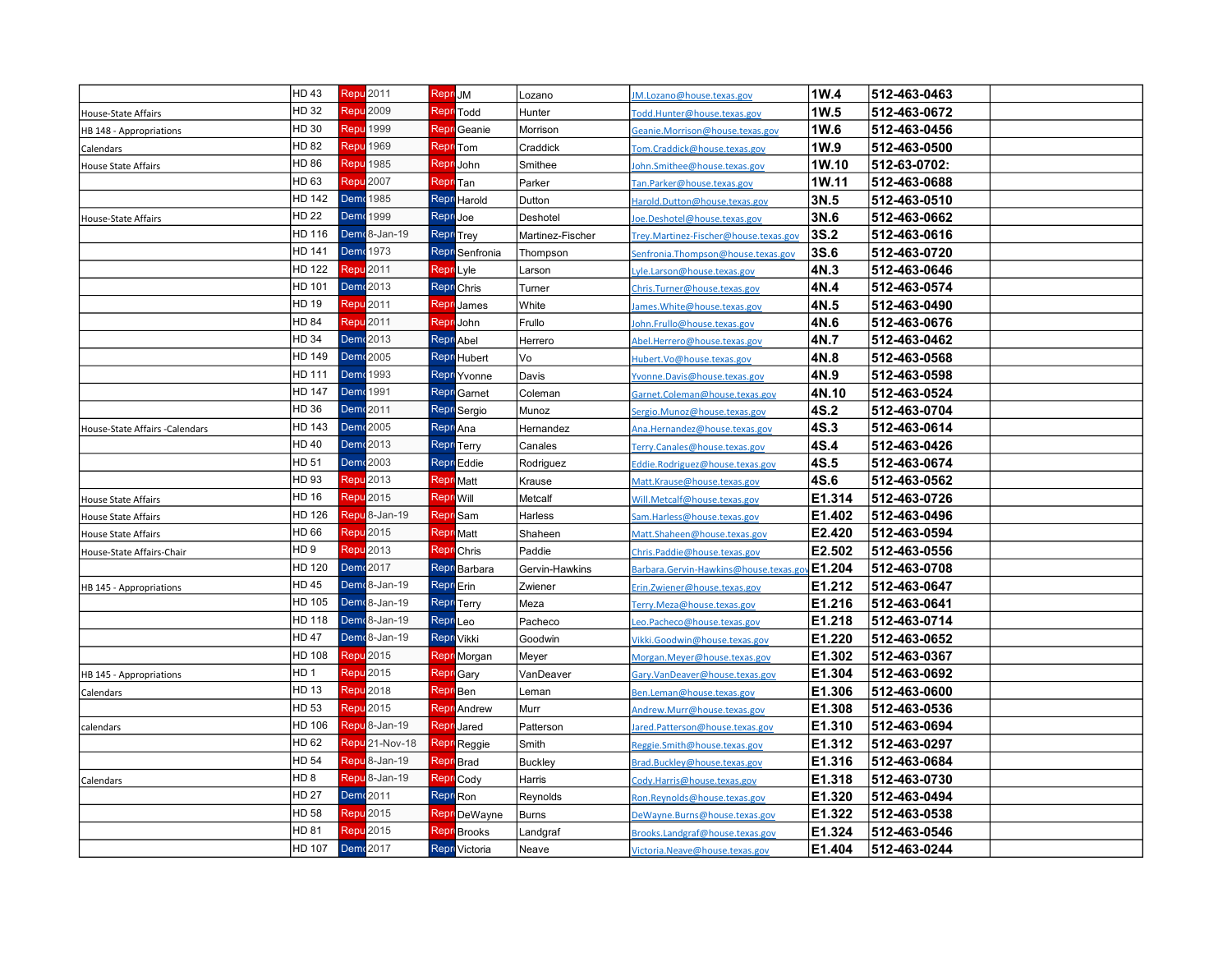|                                | HD 43           | <b>Repu 2011</b>           | Repri JM             |                        | Lozano           | JM.Lozano@house.texas.gov              | 1W.4   | 512-463-0463 |  |
|--------------------------------|-----------------|----------------------------|----------------------|------------------------|------------------|----------------------------------------|--------|--------------|--|
| House-State Affairs            | HD 32           | Repu <sup>2009</sup>       |                      | <b>Repr</b> Todd       | Hunter           | Todd.Hunter@house.texas.gov            | 1W.5   | 512-463-0672 |  |
| HB 148 - Appropriations        | HD 30           | Repu 1999                  |                      | Repri Geanie           | Morrison         | Geanie.Morrison@house.texas.gov        | 1W.6   | 512-463-0456 |  |
| Calendars                      | HD 82           | Repu 1969                  |                      | <b>Repr</b> Tom        | Craddick         | Tom.Craddick@house.texas.gov           | 1W.9   | 512-463-0500 |  |
| House State Affairs            | HD 86           | <b>Repu</b> 1985           | Repr                 | John                   | Smithee          | John.Smithee@house.texas.gov           | 1W.10  | 512-63-0702: |  |
|                                | HD 63           | Repu 2007                  | Repr                 | Tan                    | Parker           | Tan.Parker@house.texas.gov             | 1W.11  | 512-463-0688 |  |
|                                | HD 142          | <b>Dem</b> <sup>1985</sup> |                      | Repr Harold            | Dutton           | Harold.Dutton@house.texas.gov          | 3N.5   | 512-463-0510 |  |
| House-State Affairs            | HD 22           | Dem (1999                  | Repri Joe            |                        | Deshotel         | oe.Deshotel@house.texas.gov            | 3N.6   | 512-463-0662 |  |
|                                | HD 116          | Demr <sub>8</sub> -Jan-19  |                      | <b>Repr</b> Trey       | Martinez-Fischer | Trey.Martinez-Fischer@house.texas.gov  | 3S.2   | 512-463-0616 |  |
|                                | HD 141          | Dem (1973                  |                      | Repr Senfronia         | Thompson         | Senfronia.Thompson@house.texas.gov     | 3S.6   | 512-463-0720 |  |
|                                | HD 122          | Repu <sup>2011</sup>       | Repr Lyle            |                        | Larson           | Lyle.Larson@house.texas.gov            | 4N.3   | 512-463-0646 |  |
|                                | HD 101          | <b>Dem</b> <sup>2013</sup> |                      | <b>Repr</b> Chris      | Turner           | Chris.Turner@house.texas.gov           | 4N.4   | 512-463-0574 |  |
|                                | HD 19           | <b>Repu</b> 2011           |                      | <b>Repr</b> James      | White            | lames. White@house.texas.gov           | 4N.5   | 512-463-0490 |  |
|                                | HD 84           | Repu <sup>2011</sup>       | Repr                 | John                   | Frullo           | John.Frullo@house.texas.gov            | 4N.6   | 512-463-0676 |  |
|                                | HD 34           | Dem (2013)                 |                      | <b>Repr</b> Abel       | Herrero          | Abel.Herrero@house.texas.gov           | 4N.7   | 512-463-0462 |  |
|                                | HD 149          | Dem (2005                  |                      | <b>Repr</b> Hubert     | Vo               | Hubert.Vo@house.texas.gov              | 4N.8   | 512-463-0568 |  |
|                                | HD 111          | <b>Dem</b> <sup>1993</sup> |                      | Repri Yvonne           | Davis            | Yvonne.Davis@house.texas.gov           | 4N.9   | 512-463-0598 |  |
|                                | HD 147          | <b>Dem</b> 1991            |                      | Repri Garnet           | Coleman          | Garnet.Coleman@house.texas.gov         | 4N.10  | 512-463-0524 |  |
|                                | HD 36           | <b>Dem</b> <sup>2011</sup> |                      | Repri Sergio           | Munoz            | Sergio.Munoz@house.texas.gov           | 4S.2   | 512-463-0704 |  |
| House-State Affairs -Calendars | HD 143          | Dem (2005                  | Repr Ana             |                        | Hernandez        | Ana.Hernandez@house.texas.gov          | 4S.3   | 512-463-0614 |  |
|                                | HD 40           | <b>Dem</b> <sup>2013</sup> |                      | <b>Repr</b> Terry      | Canales          | Terry.Canales@house.texas.gov          | 4S.4   | 512-463-0426 |  |
|                                | HD 51           | Dem (2003                  |                      | Repr Eddie             | Rodriguez        | Eddie.Rodriguez@house.texas.gov        | 4S.5   | 512-463-0674 |  |
|                                | HD 93           | <b>Repu</b> 2013           | <b>Repr</b> Matt     |                        | Krause           | Matt.Krause@house.texas.gov            | 4S.6   | 512-463-0562 |  |
| <b>House State Affairs</b>     | HD 16           | Repu <sup>2015</sup>       | Repro Will           |                        | Metcalf          | Will.Metcalf@house.texas.gov           | E1.314 | 512-463-0726 |  |
| <b>House State Affairs</b>     | HD 126          | Repu <sup>8</sup> -Jan-19  |                      | Repr Sam               | Harless          | Sam.Harless@house.texas.gov            | E1.402 | 512-463-0496 |  |
| House State Affairs            | HD 66           | Repu <sup>2015</sup>       |                      | <b>Repr</b> Matt       | Shaheen          | Matt.Shaheen@house.texas.gov           | E2.420 | 512-463-0594 |  |
| House-State Affairs-Chair      | HD 9            | Repu <sup>2013</sup>       |                      | <b>Repr</b> Chris      | Paddie           | Chris.Paddie@house.texas.gov           | E2.502 | 512-463-0556 |  |
|                                | HD 120          | Dem (2017                  |                      | Repr <b>Barbara</b>    | Gervin-Hawkins   | Barbara.Gervin-Hawkins@house.texas.gov | E1.204 | 512-463-0708 |  |
| HB 145 - Appropriations        | HD 45           | Demr <sub>8</sub> -Jan-19  | Repr Erin            |                        | Zwiener          | Erin.Zwiener@house.texas.gov           | E1.212 | 512-463-0647 |  |
|                                | HD 105          | Demr <sub>8</sub> -Jan-19  |                      | Repri <sub>Terry</sub> | Meza             | Terry.Meza@house.texas.gov             | E1.216 | 512-463-0641 |  |
|                                | HD 118          | Demr <sub>8</sub> -Jan-19  | Repri <sub>Leo</sub> |                        | Pacheco          | Leo.Pacheco@house.texas.gov            | E1.218 | 512-463-0714 |  |
|                                | HD 47           | Demr <sub>8</sub> -Jan-19  |                      | Repr Vikki             | Goodwin          | Vikki.Goodwin@house.texas.gov          | E1.220 | 512-463-0652 |  |
|                                | HD 108          | <b>Repu</b> 2015           |                      | Repr Morgan            | Meyer            | Morgan. Meyer@house.texas.gov          | E1.302 | 512-463-0367 |  |
| HB 145 - Appropriations        | HD 1            | Repu 2015                  |                      | <b>Repr</b> Gary       | VanDeaver        | Gary.VanDeaver@house.texas.gov         | E1.304 | 512-463-0692 |  |
| Calendars                      | HD 13           | Repu <sup>2018</sup>       | Repr Ben             |                        | Leman            | Ben.Leman@house.texas.gov              | E1.306 | 512-463-0600 |  |
|                                | HD 53           | Repu <sup>2015</sup>       |                      | <b>Repr</b> Andrew     | Murr             | Andrew.Murr@house.texas.gov            | E1.308 | 512-463-0536 |  |
| calendars                      | HD 106          | Repu <sup>8</sup> -Jan-19  |                      | Repri Jared            | Patterson        | Jared.Patterson@house.texas.gov        | E1.310 | 512-463-0694 |  |
|                                | HD 62           | Repu <sup>21</sup> -Nov-18 |                      | <b>Repr</b> Reggie     | Smith            | Reggie.Smith@house.texas.gov           | E1.312 | 512-463-0297 |  |
|                                | HD 54           | Repu <sup>8</sup> -Jan-19  |                      | <b>Repr</b> Brad       | <b>Buckley</b>   | Brad.Buckley@house.texas.gov           | E1.316 | 512-463-0684 |  |
| Calendars                      | HD <sub>8</sub> | Repu <sup>8</sup> -Jan-19  |                      | <b>Repr</b> Cody       | Harris           | Cody.Harris@house.texas.gov            | E1.318 | 512-463-0730 |  |
|                                | HD 27           | Dem 2011                   | Repr Ron             |                        | Reynolds         | Ron.Reynolds@house.texas.gov           | E1.320 | 512-463-0494 |  |
|                                | HD 58           | <b>Repu</b> 2015           |                      | Repri DeWayne          | <b>Burns</b>     | DeWayne.Burns@house.texas.gov          | E1.322 | 512-463-0538 |  |
|                                | HD 81           | Repu 2015                  | Repr                 | <b>Brooks</b>          | Landgraf         | Brooks.Landgraf@house.texas.gov        | E1.324 | 512-463-0546 |  |
|                                | HD 107          | <b>Dem</b> <sup>2017</sup> |                      | Repri Victoria         | Neave            | Victoria.Neave@house.texas.gov         | E1.404 | 512-463-0244 |  |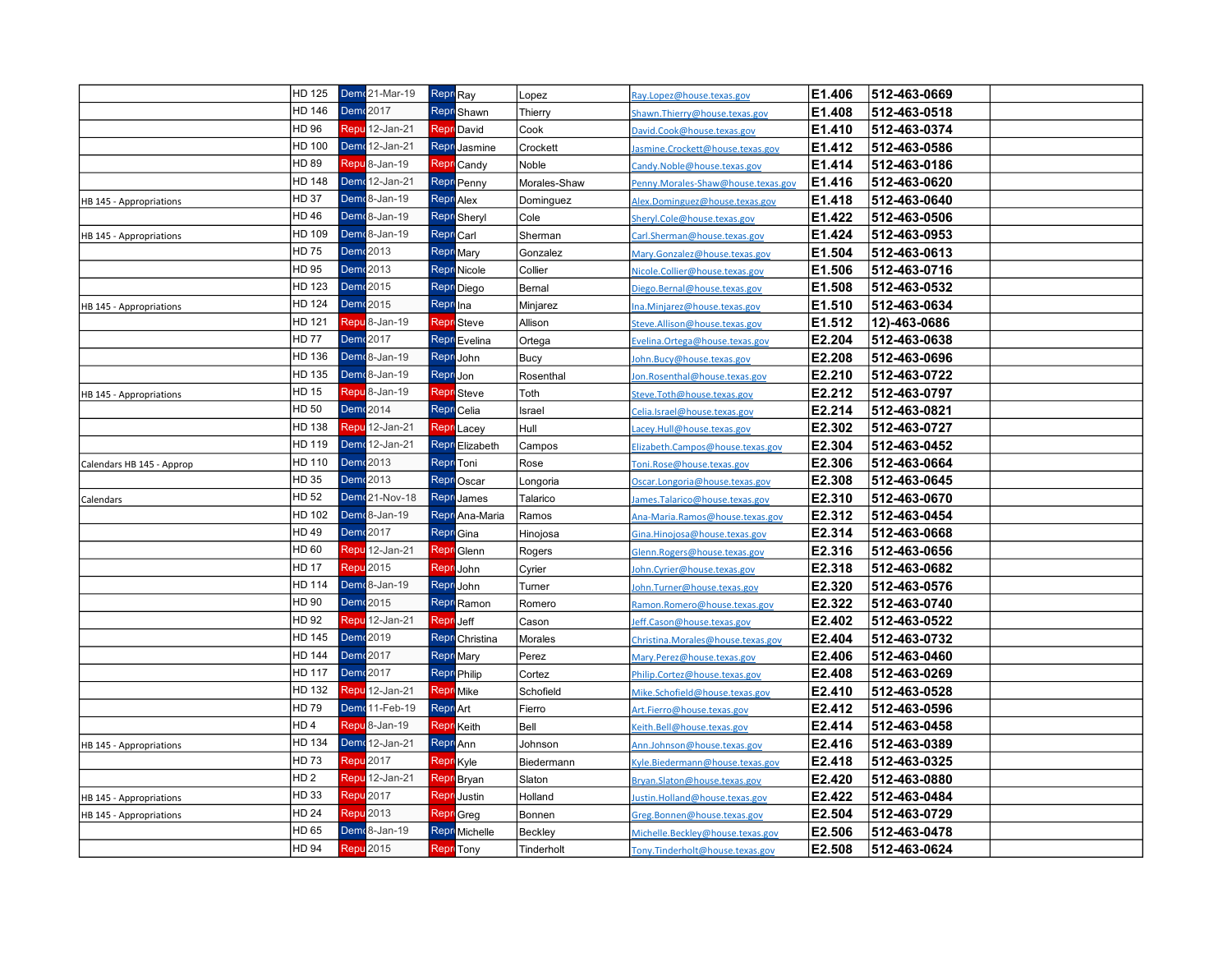|                           | HD 125          | Demr <sup>21</sup> -Mar-19      | Repri Ray |                       | Lopez         | Ray.Lopez@house.texas.gov          | E1.406 | 512-463-0669 |  |
|---------------------------|-----------------|---------------------------------|-----------|-----------------------|---------------|------------------------------------|--------|--------------|--|
|                           | HD 146          | Dem 2017                        |           | <b>Repr</b> Shawn     | Thierry       | Shawn. Thierry@house.texas.gov     | E1.408 | 512-463-0518 |  |
|                           | HD 96           | Repu 12-Jan-21                  |           | <b>Repr</b> David     | Cook          | David.Cook@house.texas.gov         | E1.410 | 512-463-0374 |  |
|                           | HD 100          | Demr 12-Jan-21                  |           | Repri Jasmine         | Crockett      | lasmine.Crockett@house.texas.gov   | E1.412 | 512-463-0586 |  |
|                           | HD 89           | Repu <sup>8</sup> -Jan-19       | Repr      | Candy                 | Noble         | Candy.Noble@house.texas.gov        | E1.414 | 512-463-0186 |  |
|                           | HD 148          | <b>Demr</b> 12-Jan-21           |           | Repri Penny           | Morales-Shaw  | Penny.Morales-Shaw@house.texas.gov | E1.416 | 512-463-0620 |  |
| HB 145 - Appropriations   | <b>HD 37</b>    | Dem 8-Jan-19                    |           | <b>Repr</b> Alex      | Dominguez     | Alex.Dominguez@house.texas.gov     | E1.418 | 512-463-0640 |  |
|                           | HD 46           | Dem 8-Jan-19                    |           | Repr Sheryl           | Cole          | Sheryl.Cole@house.texas.gov        | E1.422 | 512-463-0506 |  |
| HB 145 - Appropriations   | HD 109          | Demr <sub>8</sub> -Jan-19       |           | Repr Carl             | Sherman       | Carl.Sherman@house.texas.gov       | E1.424 | 512-463-0953 |  |
|                           | HD 75           | Dem 2013                        |           | Repri Mary            | Gonzalez      | Mary.Gonzalez@house.texas.gov      | E1.504 | 512-463-0613 |  |
|                           | HD 95           | <b>Dem</b> <sup>2013</sup>      |           | Repri Nicole          | Collier       | Nicole.Collier@house.texas.gov     | E1.506 | 512-463-0716 |  |
|                           | HD 123          | Dem (2015                       |           | ReproDiego            | Bernal        | Diego.Bernal@house.texas.gov       | E1.508 | 512-463-0532 |  |
| HB 145 - Appropriations   | HD 124          | Dem (2015)                      | Repr Ina  |                       | Minjarez      | Ina.Minjarez@house.texas.gov       | E1.510 | 512-463-0634 |  |
|                           | HD 121          | Repu <sup>8</sup> -Jan-19       |           | <b>Repr</b> Steve     | Allison       | Steve.Allison@house.texas.gov      | E1.512 | 12)-463-0686 |  |
|                           | <b>HD 77</b>    | Dem (2017                       |           | Repr Evelina          | Ortega        | Evelina. Ortega@house.texas.gov    | E2.204 | 512-463-0638 |  |
|                           | HD 136          | Demr <sub>8</sub> -Jan-19       |           | ReproJohn             | Bucy          | lohn.Bucy@house.texas.gov          | E2.208 | 512-463-0696 |  |
|                           | HD 135          | Demr <sub>8</sub> -Jan-19       | Repri Jon |                       | Rosenthal     | Ion.Rosenthal@house.texas.gov      | E2.210 | 512-463-0722 |  |
| HB 145 - Appropriations   | HD 15           | Repu <sup>8</sup> -Jan-19       |           | Repr Steve            | Toth          | Steve.Toth@house.texas.gov         | E2.212 | 512-463-0797 |  |
|                           | HD 50           | Dem (2014                       |           | Repri Celia           | Israel        | Celia.Israel@house.texas.gov       | E2.214 | 512-463-0821 |  |
|                           | HD 138          | Repu 12-Jan-21                  | Repr      | Lacey                 | Hull          | acey.Hull@house.texas.gov          | E2.302 | 512-463-0727 |  |
|                           | HD 119          | Demr <sup>12-Jan-21</sup>       |           | Repr Elizabeth        | Campos        | Elizabeth.Campos@house.texas.gov   | E2.304 | 512-463-0452 |  |
| Calendars HB 145 - Approp | HD 110          | Dem 2013                        |           | Repri <sub>Toni</sub> | Rose          | Toni.Rose@house.texas.gov          | E2.306 | 512-463-0664 |  |
|                           | HD 35           | Dem 2013                        |           | Repr <sub>Oscar</sub> | Longoria      | Oscar.Longoria@house.texas.gov     | E2.308 | 512-463-0645 |  |
| Calendars                 | HD 52           | <b>Dem</b> <sup>21-Nov-18</sup> |           | Repr James            | Talarico      | lames.Talarico@house.texas.gov     | E2.310 | 512-463-0670 |  |
|                           | HD 102          | Demr <sup>8</sup> -Jan-19       |           | Repri Ana-Maria       | Ramos         | Ana-Maria.Ramos@house.texas.gov    | E2.312 | 512-463-0454 |  |
|                           | HD 49           | Dem 2017                        |           | Repri Gina            | Hinojosa      | Gina. Hinojosa@house. texas.gov    | E2.314 | 512-463-0668 |  |
|                           | HD 60           | Repu 12-Jan-21                  |           | Repr Glenn            | Rogers        | Glenn.Rogers@house.texas.gov       | E2.316 | 512-463-0656 |  |
|                           | <b>HD 17</b>    | <b>Repu 2015</b>                |           | Repri John            | Cyrier        | Iohn.Cyrier@house.texas.gov        | E2.318 | 512-463-0682 |  |
|                           | HD 114          | Demr <sup>8</sup> -Jan-19       |           | Repri John            | Turner        | John.Turner@house.texas.gov        | E2.320 | 512-463-0576 |  |
|                           | HD 90           | Dem (2015)                      |           | Repr Ramon            | Romero        | Ramon.Romero@house.texas.gov       | E2.322 | 512-463-0740 |  |
|                           | HD 92           | Repu 12-Jan-21                  | Repr      | Jeff                  | Cas <u>on</u> | leff.Cason@house.texas.gov         | E2.402 | 512-463-0522 |  |
|                           | HD 145          | Dem (2019)                      |           | Repri Christina       | Morales       | Christina.Morales@house.texas.gov  | E2.404 | 512-463-0732 |  |
|                           | <b>HD 144</b>   | Dem (2017                       |           | Repr Mary             | Perez         | Mary.Perez@house.texas.gov         | E2.406 | 512-463-0460 |  |
|                           | HD 117          | <b>Dem</b> <sup>2017</sup>      |           | Repri Philip          | Cortez        | Philip.Cortez@house.texas.gov      | E2.408 | 512-463-0269 |  |
|                           | HD 132          | Repu 12-Jan-21                  |           | Repr Mike             | Schofield     | Mike.Schofield@house.texas.gov     | E2.410 | 512-463-0528 |  |
|                           | HD 79           | Demr 11-Feb-19                  | Repr Art  |                       | Fierro        | Art.Fierro@house.texas.gov         | E2.412 | 512-463-0596 |  |
|                           | HD <sub>4</sub> | Repu <sup>8</sup> -Jan-19       |           | <b>Repr</b> Keith     | Bell          | Keith.Bell@house.texas.gov         | E2.414 | 512-463-0458 |  |
| HB 145 - Appropriations   | HD 134          | Demr 12-Jan-21                  | Repr Ann  |                       | Johnson       | Ann.Johnson@house.texas.gov        | E2.416 | 512-463-0389 |  |
|                           | HD 73           | <b>Repu</b> 2017                |           | <b>Repr</b> Kyle      | Biedermann    | Kyle.Biedermann@house.texas.gov    | E2.418 | 512-463-0325 |  |
|                           | HD <sub>2</sub> | <b>Repu</b> 12-Jan-21           |           | Repr Bryan            | Slaton        | Bryan.Slaton@house.texas.gov       | E2.420 | 512-463-0880 |  |
| HB 145 - Appropriations   | HD 33           | Repu <sub>2017</sub>            |           | <b>Repr</b> Justin    | Holland       | lustin.Holland@house.texas.gov     | E2.422 | 512-463-0484 |  |
| HB 145 - Appropriations   | <b>HD 24</b>    | Repu 2013                       |           | Repr Greg             | Bonnen        | Greg.Bonnen@house.texas.gov        | E2.504 | 512-463-0729 |  |
|                           | HD 65           | Demr <sub>8</sub> -Jan-19       |           | Repr Michelle         | Beckley       | Michelle. Beckley@house.texas.gov  | E2.506 | 512-463-0478 |  |
|                           | HD 94           | Repu <sup>2015</sup>            |           | <b>Repr</b> Tony      | Tinderholt    | Tony.Tinderholt@house.texas.gov    | E2.508 | 512-463-0624 |  |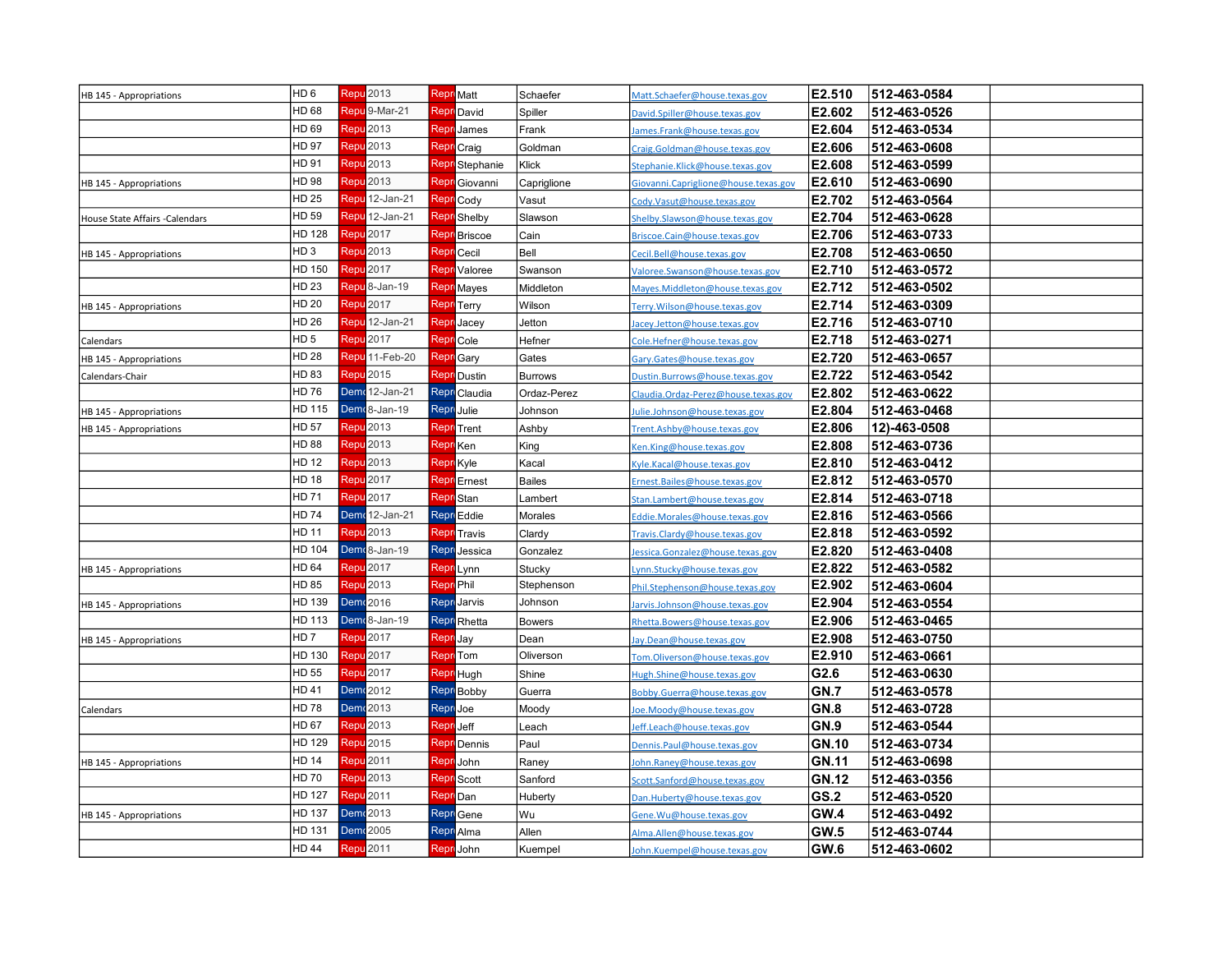| HB 145 - Appropriations        | HD <sub>6</sub> | Repu <sup>2013</sup>       |                  | Repro Matt          | Schaefer       | Matt.Schaefer@house.texas.gov         | E2.510       | 512-463-0584 |  |
|--------------------------------|-----------------|----------------------------|------------------|---------------------|----------------|---------------------------------------|--------------|--------------|--|
|                                | HD 68           | Repu <sup>9</sup> -Mar-21  |                  | <b>Repr</b> David   | Spiller        | David.Spiller@house.texas.gov         | E2.602       | 512-463-0526 |  |
|                                | HD 69           | Repu <sup>2013</sup>       | Repr             | James               | Frank          | James.Frank@house.texas.gov           | E2.604       | 512-463-0534 |  |
|                                | HD 97           | Repu 2013                  |                  | Repr Craig          | Goldman        | Craig.Goldman@house.texas.gov         | E2.606       | 512-463-0608 |  |
|                                | HD 91           | <b>Repu</b> 2013           |                  | Repr Stephanie      | Klick          | Stephanie.Klick@house.texas.gov       | E2.608       | 512-463-0599 |  |
| HB 145 - Appropriations        | HD 98           | Repu <sup>2013</sup>       |                  | Repr Giovanni       | Capriglione    | Giovanni. Capriglione@house.texas.gov | E2.610       | 512-463-0690 |  |
|                                | HD 25           | Repu 12-Jan-21             |                  | Repr Cody           | Vasut          | Cody.Vasut@house.texas.gov            | E2.702       | 512-463-0564 |  |
| House State Affairs -Calendars | HD 59           | Repu 12-Jan-21             |                  | Repr Shelby         | Slawson        | Shelby.Slawson@house.texas.gov        | E2.704       | 512-463-0628 |  |
|                                | HD 128          | <b>Repu</b> 2017           |                  | <b>Repr</b> Briscoe | Cain           | Briscoe.Cain@house.texas.gov          | E2.706       | 512-463-0733 |  |
| HB 145 - Appropriations        | HD <sub>3</sub> | Repu 2013                  |                  | <b>Repr</b> Cecil   | Bell           | Cecil.Bell@house.texas.gov            | E2.708       | 512-463-0650 |  |
|                                | HD 150          | Repu <sup>2017</sup>       |                  | <b>Repr</b> Valoree | Swanson        | Valoree.Swanson@house.texas.gov       | E2.710       | 512-463-0572 |  |
|                                | HD 23           | Repu <sup>8</sup> -Jan-19  |                  | <b>Repr</b> Mayes   | Middleton      | Mayes.Middleton@house.texas.gov       | E2.712       | 512-463-0502 |  |
| HB 145 - Appropriations        | HD 20           | Repu <sup>2017</sup>       |                  | <b>Repr</b> Terry   | Wilson         | Terry.Wilson@house.texas.gov          | E2.714       | 512-463-0309 |  |
|                                | HD 26           | Repu <sup>12-Jan-21</sup>  |                  | <b>Repr</b> Jacey   | Jetton         | lacey.Jetton@house.texas.gov          | E2.716       | 512-463-0710 |  |
| Calendars                      | HD <sub>5</sub> | Repu <sup>2017</sup>       |                  | <b>Repr</b> Cole    | Hefner         | Cole.Hefner@house.texas.gov           | E2.718       | 512-463-0271 |  |
| HB 145 - Appropriations        | HD 28           | Repu <sup>11</sup> -Feb-20 |                  | <b>Repr</b> Gary    | Gates          | Gary.Gates@house.texas.gov            | E2.720       | 512-463-0657 |  |
| Calendars-Chair                | HD 83           | Repu <sup>2015</sup>       |                  | Repri Dustin        | <b>Burrows</b> | Dustin.Burrows@house.texas.gov        | E2.722       | 512-463-0542 |  |
|                                | HD 76           | Demr 12-Jan-21             |                  | Repri Claudia       | Ordaz-Perez    | Claudia.Ordaz-Perez@house.texas.gov   | E2.802       | 512-463-0622 |  |
| HB 145 - Appropriations        | HD 115          | Demr <sup>8</sup> -Jan-19  |                  | Repri Julie         | Johnson        | Julie.Johnson@house.texas.gov         | E2.804       | 512-463-0468 |  |
| HB 145 - Appropriations        | HD 57           | Repu <mark>2013</mark>     |                  | <b>Repr</b> Trent   | Ashby          | Trent.Ashby@house.texas.gov           | E2.806       | 12)-463-0508 |  |
|                                | HD 88           | Repu <mark>2013</mark>     | Repr Ken         |                     | King           | Ken.King@house.texas.gov              | E2.808       | 512-463-0736 |  |
|                                | HD 12           | Repu 2013                  |                  | <b>Repr</b> Kyle    | Kacal          | Kyle.Kacal@house.texas.gov            | E2.810       | 512-463-0412 |  |
|                                | HD 18           | Repu 2017                  |                  | <b>Repr</b> Ernest  | <b>Bailes</b>  | Ernest.Bailes@house.texas.gov         | E2.812       | 512-463-0570 |  |
|                                | HD 71           | Repu 2017                  |                  | <b>Repr</b> Stan    | Lambert        | Stan.Lambert@house.texas.gov          | E2.814       | 512-463-0718 |  |
|                                | HD 74           | Demr 12-Jan-21             |                  | Repr Eddie          | Morales        | Eddie.Morales@house.texas.gov         | E2.816       | 512-463-0566 |  |
|                                | HD 11           | Repu <sup>2013</sup>       | Repr             | Travis              | Clardy         | Travis.Clardy@house.texas.gov         | E2.818       | 512-463-0592 |  |
|                                | HD 104          | Demr <sup>8</sup> -Jan-19  |                  | Repri Jessica       | Gonzalez       | Jessica.Gonzalez@house.texas.gov      | E2.820       | 512-463-0408 |  |
| HB 145 - Appropriations        | HD 64           | Repu 2017                  |                  | Repr Lynn           | Stucky         | Lynn.Stucky@house.texas.gov           | E2.822       | 512-463-0582 |  |
|                                | HD 85           | <b>Repu</b> 2013           | Repr Phil        |                     | Stephenson     | Phil.Stephenson@house.texas.gov       | E2.902       | 512-463-0604 |  |
| HB 145 - Appropriations        | HD 139          | Dem 2016                   |                  | <b>Repr</b> Jarvis  | Johnson        | larvis.Johnson@house.texas.gov        | E2.904       | 512-463-0554 |  |
|                                | HD 113          | Demr <sub>8</sub> -Jan-19  |                  | Repr Rhetta         | <b>Bowers</b>  | Rhetta.Bowers@house.texas.gov         | E2.906       | 512-463-0465 |  |
| HB 145 - Appropriations        | HD <sub>7</sub> | <b>Repu</b> 2017           | Repri Jay        |                     | Dean           | Jay.Dean@house.texas.gov              | E2.908       | 512-463-0750 |  |
|                                | HD 130          | Repu 2017                  |                  | <b>Repr</b> Tom     | Oliverson      | Tom.Oliverson@house.texas.gov         | E2.910       | 512-463-0661 |  |
|                                | HD 55           | Repu 2017                  |                  | Repr Hugh           | Shine          | Hugh.Shine@house.texas.gov            | G2.6         | 512-463-0630 |  |
|                                | HD 41           | Dem 2012                   |                  | Repr Bobby          | Guerra         | Bobby.Guerra@house.texas.gov          | <b>GN.7</b>  | 512-463-0578 |  |
| Calendars                      | HD 78           | Dem (2013                  | Repri Joe        |                     | Moody          | Joe.Moody@house.texas.gov             | <b>GN.8</b>  | 512-463-0728 |  |
|                                | HD 67           | Repu 2013                  | <b>Repr</b> Jeff |                     | Leach          | Jeff.Leach@house.texas.gov            | <b>GN.9</b>  | 512-463-0544 |  |
|                                | HD 129          | Repu 2015                  |                  | <b>Repr</b> Dennis  | Paul           | Dennis.Paul@house.texas.gov           | <b>GN.10</b> | 512-463-0734 |  |
| HB 145 - Appropriations        | HD 14           | Repu 2011                  | Repr             | John                | Raney          | John.Raney@house.texas.gov            | GN.11        | 512-463-0698 |  |
|                                | HD 70           | Repu <sup>2013</sup>       |                  | <b>Repr</b> Scott   | Sanford        | Scott.Sanford@house.texas.gov         | GN.12        | 512-463-0356 |  |
|                                | HD 127          | Repu <sup>2011</sup>       | Repr Dan         |                     | Huberty        | Dan.Huberty@house.texas.gov           | <b>GS.2</b>  | 512-463-0520 |  |
| HB 145 - Appropriations        | HD 137          | Dem(2013                   |                  | Repri Gene          | Wu             | Gene. Wu@house.texas.gov              | GW.4         | 512-463-0492 |  |
|                                | HD 131          | Dem 2005                   |                  | Repri Alma          | Allen          | Alma.Allen@house.texas.gov            | <b>GW.5</b>  | 512-463-0744 |  |
|                                | <b>HD 44</b>    | Repu <sup>2011</sup>       |                  | Repri John          | Kuempel        | John.Kuempel@house.texas.gov          | GW.6         | 512-463-0602 |  |